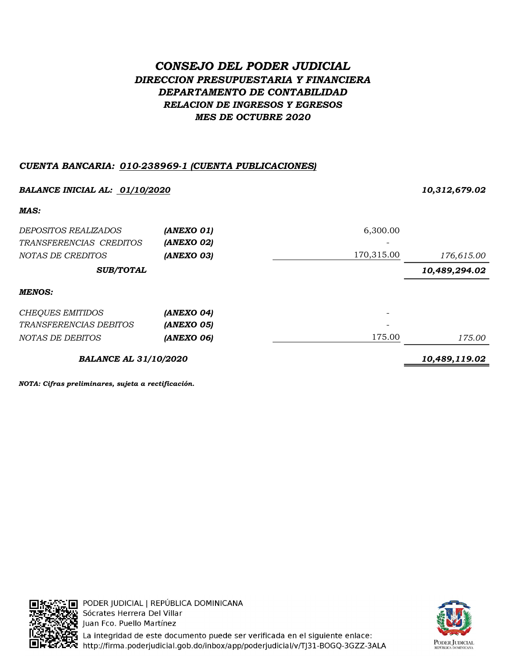# CONSEJO DEL PODER JUDICIAL DIRECCION PRESUPUESTARIA Y FINANCIERA DEPARTAMENTO DE CONTABILIDAD RELACION DE INGRESOS Y EGRESOS MES DE OCTUBRE 2020

### CUENTA BANCARIA: 010-238969-1 (CUENTA PUBLICACIONES)

| <b>BALANCE INICIAL AL: 01/10/2020</b> | 10,312,679.02 |            |               |
|---------------------------------------|---------------|------------|---------------|
| MAS:                                  |               |            |               |
| <i>DEPOSITOS REALIZADOS</i>           | (ANEXO 01)    | 6,300.00   |               |
| TRANSFERENCIAS CREDITOS               | (ANEXO 02)    |            |               |
| NOTAS DE CREDITOS                     | (ANEXO 03)    | 170,315.00 | 176,615.00    |
| <b>SUB/TOTAL</b>                      |               |            | 10,489,294.02 |
| <b>MENOS:</b>                         |               |            |               |
| <b>CHEQUES EMITIDOS</b>               | (ANEXO 04)    |            |               |
| <i>TRANSFERENCIAS DEBITOS</i>         | (ANEXO 05)    |            |               |
| NOTAS DE DEBITOS                      | (ANEXO 06)    | 175.00     | 175.00        |
| <b>BALANCE AL 31/10/2020</b>          | 10,489,119.02 |            |               |

NOTA: Cifras preliminares, sujeta a rectificación.





**).**<br>14 La integridad de este documento puede ser verificada en el siguiente enlace:<br>24 http://firma.poderjudicial.gob.do/inbox/app/poderjudicial/v/TJ31-BOGQ-3GZZ-3ALA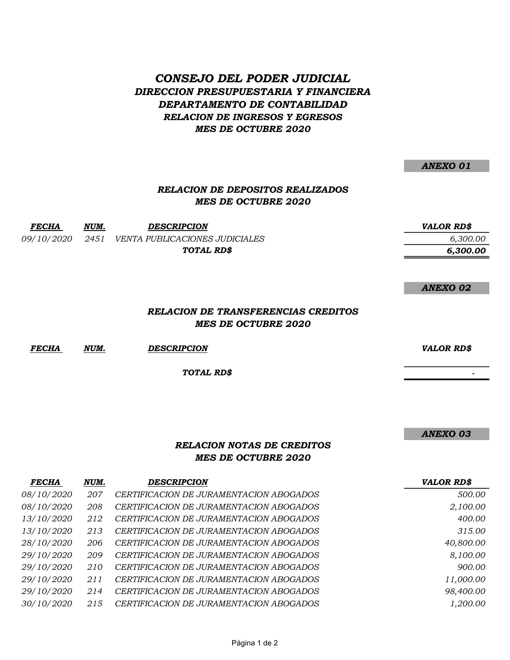## CONSEJO DEL PODER JUDICIAL DIRECCION PRESUPUESTARIA Y FINANCIERA DEPARTAMENTO DE CONTABILIDAD RELACION DE INGRESOS Y EGRESOS MES DE OCTUBRE 2020

ANEXO 01

### RELACION DE DEPOSITOS REALIZADOS MES DE OCTUBRE 2020

FECHA NUM. DESCRIPCION VALOR RD\$

09/10/2020 2451 VENTA PUBLICACIONES JUDICIALES 6,300.00 TOTAL RD\$

ANEXO 02

6,300.00

#### RELACION DE TRANSFERENCIAS CREDITOS MES DE OCTUBRE 2020

FECHA NUM. DESCRIPCION VALOR RD\$

TOTAL RD\$

ANEXO 03

- 1990)<br>1990 - Paul Barbara, política<br>1990 - Paul Barbara, política

### RELACION NOTAS DE CREDITOS MES DE OCTUBRE 2020

| <b>FECHA</b>      | NUM. | <b>DESCRIPCION</b>                      | <b>VALOR RD\$</b> |
|-------------------|------|-----------------------------------------|-------------------|
| <i>08/10/2020</i> | 207  | CERTIFICACION DE JURAMENTACION ABOGADOS | 500.00            |
| 08/10/2020        | 208  | CERTIFICACION DE JURAMENTACION ABOGADOS | 2,100.00          |
| 13/10/2020        | 212  | CERTIFICACION DE JURAMENTACION ABOGADOS | 400.00            |
| 13/10/2020        | 213  | CERTIFICACION DE JURAMENTACION ABOGADOS | 315.00            |
| 28/10/2020        | 206  | CERTIFICACION DE JURAMENTACION ABOGADOS | 40,800.00         |
| 29/10/2020        | 209  | CERTIFICACION DE JURAMENTACION ABOGADOS | 8,100.00          |
| 29/10/2020        | 210  | CERTIFICACION DE JURAMENTACION ABOGADOS | 900.00            |
| 29/10/2020        | 211  | CERTIFICACION DE JURAMENTACION ABOGADOS | 11,000.00         |
| 29/10/2020        | 214  | CERTIFICACION DE JURAMENTACION ABOGADOS | 98,400.00         |
| 30/10/2020        | 215  | CERTIFICACION DE JURAMENTACION ABOGADOS | 1,200.00          |